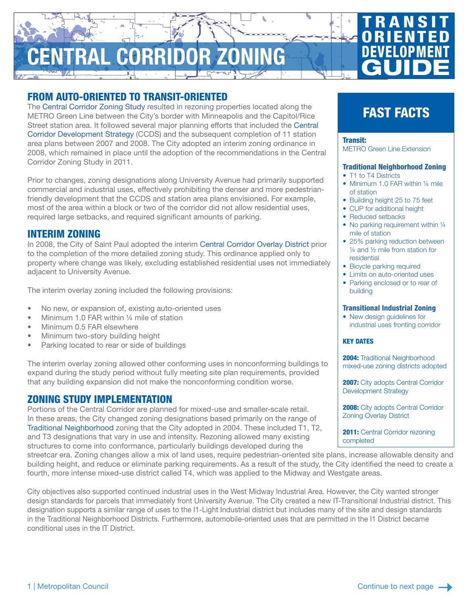# ENTRAL CORRIDOR ZONING

# FROM AUTO-ORIENTED TO TRANSIT-ORIENTED

The [Central Corridor Zoning Study](https://www.stpaul.gov/departments/planning-economic-development/planning/green-line/plans-policies/central-corridor-zoning) resulted in rezoning properties located along the METRO Green Line between the City's border with Minneapolis and the Capitol/Rice Street station area. It followed several major planning efforts that included the [Central](https://www.stpaul.gov/departments/planning-economic-development/planning/central-corridor-development-strategy)  [Corridor Development Strategy](https://www.stpaul.gov/departments/planning-economic-development/planning/central-corridor-development-strategy) (CCDS) and the subsequent completion of 11 station area plans between 2007 and 2008. The City adopted an interim zoning ordinance in 2008, which remained in place until the adoption of the recommendations in the Central Corridor Zoning Study in 2011.

Prior to changes, zoning designations along University Avenue had primarily supported commercial and industrial uses, effectively prohibiting the denser and more pedestrianfriendly development that the CCDS and station area plans envisioned. For example, most of the area within a block or two of the corridor did not allow residential uses, required large setbacks, and required significant amounts of parking.

# INTERIM ZONING

In 2008, the City of Saint Paul adopted the interim [Central Corridor Overlay District](https://www.stpaul.gov/DocumentCenter/Government/Planning & Economic Development/Planning/Green Line/Overlay District Requirements 11-17-10.pdf) prior to the completion of the more detailed zoning study. This ordinance applied only to property where change was likely, excluding established residential uses not immediately adjacent to University Avenue.

The interim overlay zoning included the following provisions:

- No new, or expansion of, existing auto-oriented uses
- Minimum 1.0 FAR within 1/4 mile of station
- Minimum 0.5 FAR elsewhere
- Minimum two-story building height
- Parking located to rear or side of buildings

The interim overlay zoning allowed other conforming uses in nonconforming buildings to expand during the study period without fully meeting site plan requirements, provided that any building expansion did not make the nonconforming condition worse.

### ZONING STUDY IMPLEMENTATION

Portions of the Central Corridor are planned for mixed-use and smaller-scale retail. In these areas, the City changed zoning designations based primarily on the range of [Traditional Neighborhood](https://library.municode.com/mn/st._paul/codes/code_of_ordinances?nodeId=PTIILECO_TITVIIIZOCO_CH66ZOCOONDIUSDEDIST_ARTIII66.300.TRNEDI) zoning that the City adopted in 2004. These included T1, T2, and T3 designations that vary in use and intensity. Rezoning allowed many existing structures to come into conformance, particularly buildings developed during the

streetcar era. Zoning changes allow a mix of land uses, require pedestrian-oriented site plans, increase allowable density and building height, and reduce or eliminate parking requirements. As a result of the study, the City identified the need to create a fourth, more intense mixed-use district called T4, which was applied to the Midway and Westgate areas.

City objectives also supported continued industrial uses in the West Midway Industrial Area. However, the City wanted stronger design standards for parcels that immediately front University Avenue. The City created a new IT-Transitional Industrial district. This designation supports a similar range of uses to the I1-Light Industrial district but includes many of the site and design standards in the Traditional Neighborhood Districts. Furthermore, automobile-oriented uses that are permitted in the I1 District became conditional uses in the IT District.

# FAST FACTS

**TRANSIT ORIENTED** 

DEVELOPMENT

**GUIDE** 

#### Transit:

[METRO Green Line Extension](https://www.metrotransit.org/metro-green-line)

#### [Traditional Neighborhood Zoning](https://library.municode.com/mn/st._paul/codes/code_of_ordinances?nodeId=PTIILECO_TITVIIIZOCO_CH66ZOCOONDIUSDEDIST_ARTIII66.300.TRNEDI)

- T1 to T4 Districts
- Minimum 1.0 FAR within 1/4 mile of station
- Building height 25 to 75 feet
- CUP for additional height
- Reduced setbacks
- No parking requirement within 1/4 mile of station
- 25% parking reduction between ¼ and ½ mile from station for residential
- Bicycle parking required
- Limits on auto-oriented uses • Parking enclosed or to rear of
- building

#### [Transitional Industrial Zoning](https://library.municode.com/mn/st._paul/codes/code_of_ordinances?nodeId=PTIILECO_TITVIIIZOCO_CH66ZOCOONDIUSDEDIST_ARTV66.500.INDI_DIV166.510.IN_S66.511INTRINDI)

• New design guidelines for industrial uses fronting corridor

#### KEY DATES

2004: Traditional Neighborhood mixed-use zoning districts adopted

**2007:** City adopts Central Corridor Development Strategy

2008: City adopts Central Corridor Zoning Overlay District

2011: Central Corridor rezoning completed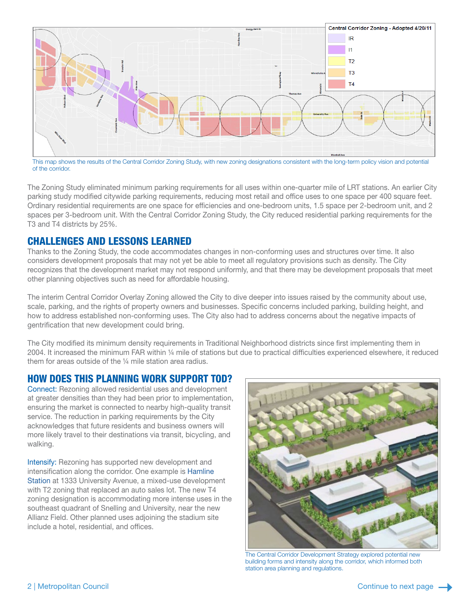

This map shows the results of the Central Corridor Zoning Study, with new zoning designations consistent with the long-term policy vision and potential of the corridor.

The Zoning Study eliminated minimum parking requirements for all uses within one-quarter mile of LRT stations. An earlier City parking study modified citywide parking requirements, reducing most retail and office uses to one space per 400 square feet. Ordinary residential requirements are one space for efficiencies and one-bedroom units, 1.5 space per 2-bedroom unit, and 2 spaces per 3-bedroom unit. With the Central Corridor Zoning Study, the City reduced residential parking requirements for the T3 and T4 districts by 25%.

# CHALLENGES AND LESSONS LEARNED

Thanks to the Zoning Study, the code accommodates changes in non-conforming uses and structures over time. It also considers development proposals that may not yet be able to meet all regulatory provisions such as density. The City recognizes that the development market may not respond uniformly, and that there may be development proposals that meet other planning objectives such as need for affordable housing.

The interim Central Corridor Overlay Zoning allowed the City to dive deeper into issues raised by the community about use, scale, parking, and the rights of property owners and businesses. Specific concerns included parking, building height, and how to address established non-conforming uses. The City also had to address concerns about the negative impacts of gentrification that new development could bring.

The City modified its minimum density requirements in Traditional Neighborhood districts since first implementing them in 2004. It increased the minimum FAR within ¼ mile of stations but due to practical difficulties experienced elsewhere, it reduced them for areas outside of the ¼ mile station area radius.

# HOW DOES THIS PLANNING WORK SUPPORT TOD?

Connect: Rezoning allowed residential uses and development at greater densities than they had been prior to implementation, ensuring the market is connected to nearby high-quality transit service. The reduction in parking requirements by the City acknowledges that future residents and business owners will more likely travel to their destinations via transit, bicycling, and walking.

Intensify: Rezoning has supported new development and intensification along the corridor. One example is [Hamline](mailto:https://metrocouncil.org/Communities/Planning/TOD/Files/LCA-Case-Study-Hamline-Station.aspx?subject=)  [Station](mailto:https://metrocouncil.org/Communities/Planning/TOD/Files/LCA-Case-Study-Hamline-Station.aspx?subject=) at 1333 University Avenue, a mixed-use development with T2 zoning that replaced an auto sales lot. The new T4 zoning designation is accommodating more intense uses in the southeast quadrant of Snelling and University, near the new Allianz Field. Other planned uses adjoining the stadium site include a hotel, residential, and offices.



The Central Corridor Development Strategy explored potential new building forms and intensity along the corridor, which informed both station area planning and regulations.